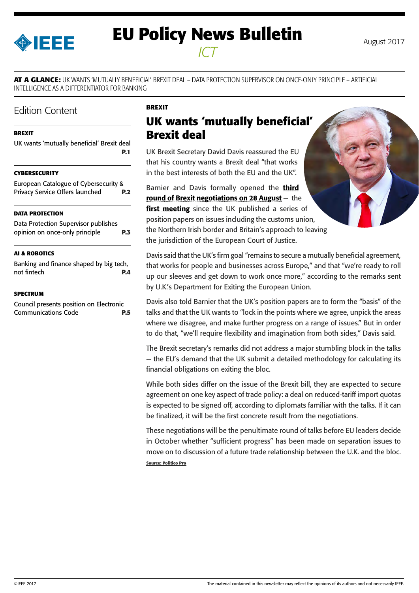<span id="page-0-0"></span>

# **EU Policy News Bulletin** August 2017 *ICT*

**AT A GLANCE:** UK WANTS 'MUTUALLY BENEFICIAL' BREXIT DEAL – DATA PROTECTION SUPERVISOR ON ONCE-ONLY PRINCIPLE – ARTIFICIAL INTELLIGENCE AS A DIFFERENTIATOR FOR BANKING

## Edition Content

#### **BREXIT**

|  | UK wants 'mutually beneficial' Brexit deal |            |
|--|--------------------------------------------|------------|
|  |                                            | <b>P.1</b> |

#### **[CYBERSECURITY](#page-1-0)**

| <b>European Catalogue of Cybersecurity &amp;</b> |            |
|--------------------------------------------------|------------|
| Privacy Service Offers launched                  | <b>P.2</b> |

#### **[DATA PROTECTION](#page-2-0)**

[Data Protection Supervisor publishes](#page-2-0)  [opinion on once-only principle](#page-2-0) **P.3**

#### **[AI & ROBOTICS](#page-3-0)**

[Banking and finance shaped by big tech,](#page-3-0)  [not fintech](#page-3-0) **P.4**

#### **[SPECTRUM](#page-4-0)**

[Council presents position on Electronic](#page-4-0)  [Communications Code](#page-4-0) **P.5**

#### **BREXIT**

## **UK wants 'mutually beneficial' Brexit deal**

UK Brexit Secretary David Davis reassured the EU that his country wants a Brexit deal "that works in the best interests of both the EU and the UK".

Barnier and Davis formally opened the third [round of Brexit negotiations](https://ec.europa.eu/commission/brexit-negotiations_en) on 28 August  $-$  the [first meeting](https://ec.europa.eu/commission/sites/beta-political/files/agenda_3rd_round_0.pdf) since the UK published a series of position papers on issues including the customs union, the Northern Irish border and Britain's approach to leaving the jurisdiction of the European Court of Justice.

Davis said that the UK's firm goal "remains to secure a mutually beneficial agreement, that works for people and businesses across Europe," and that "we're ready to roll up our sleeves and get down to work once more," according to the remarks sent by U.K.'s Department for Exiting the European Union.

Davis also told Barnier that the UK's position papers are to form the "basis" of the talks and that the UK wants to "lock in the points where we agree, unpick the areas where we disagree, and make further progress on a range of issues." But in order to do that, "we'll require flexibility and imagination from both sides," Davis said.

The Brexit secretary's remarks did not address a major stumbling block in the talks — the EU's demand that the UK submit a detailed methodology for calculating its financial obligations on exiting the bloc.

While both sides differ on the issue of the Brexit bill, they are expected to secure agreement on one key aspect of trade policy: a deal on reduced-tariff import quotas is expected to be signed off, according to diplomats familiar with the talks. If it can be finalized, it will be the first concrete result from the negotiations.

These negotiations will be the penultimate round of talks before EU leaders decide in October whether "sufficient progress" has been made on separation issues to move on to discussion of a future trade relationship between the U.K. and the bloc. **Source: Politico Pro**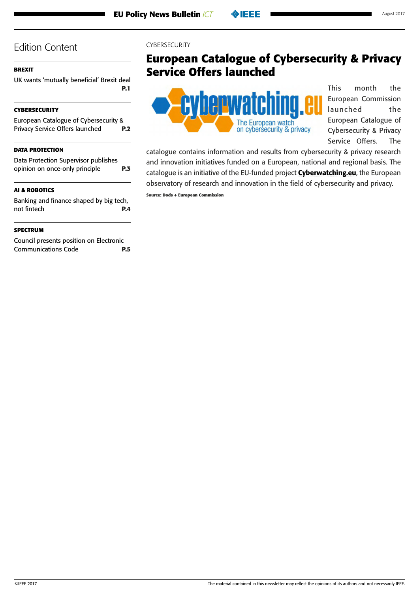## <span id="page-1-0"></span>**[BREXIT](#page-0-0)**

[UK wants 'mutually beneficial' Brexit deal](#page-0-0) **[P.1](#page-0-0)**

## **CYBERSECURITY**

European Catalogue of Cybersecurity & Privacy Service Offers launched **P.2**

## **[DATA PROTECTION](#page-2-0)**

[Data Protection Supervisor publishes](#page-2-0)  [opinion on once-only principle](#page-2-0) **P.3**

### **[AI & ROBOTICS](#page-3-0)**

[Banking and finance shaped by big tech,](#page-3-0)  [not fintech](#page-3-0) **P.4**

### **[SPECTRUM](#page-4-0)**

[Council presents position on Electronic](#page-4-0)  [Communications Code](#page-4-0) **P.5**

#### **CYBERSECURITY**

## **European Catalogue of Cybersecurity & Privacy Service Offers launched**



This month the European Commission launched the European Catalogue of Cybersecurity & Privacy Service Offers. The

catalogue contains information and results from cybersecurity & privacy research and innovation initiatives funded on a European, national and regional basis. The catalogue is an initiative of the EU-funded project **[Cyberwatching.eu](https://www.cyberwatching.eu/)**, the European observatory of research and innovation in the field of cybersecurity and privacy.

**Source: Dods + European Commission**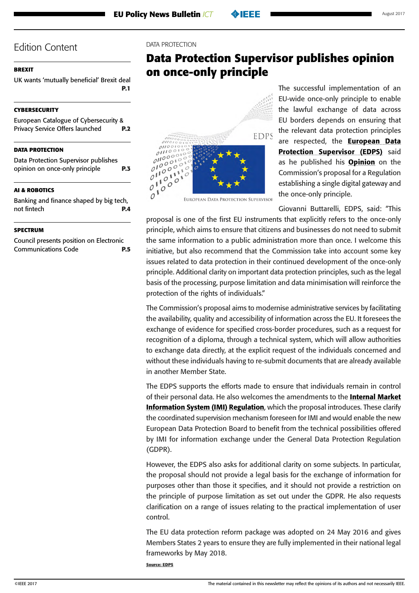## <span id="page-2-0"></span>**[BREXIT](#page-0-0)**

[UK wants 'mutually beneficial' Brexit deal](#page-0-0) **[P.1](#page-0-0)**

## **[CYBERSECURITY](#page-1-0)**

[European Catalogue of Cybersecurity &](#page-1-0)  [Privacy Service Offers launched](#page-1-0) **P.2**

### **DATA PROTECTION**

Data Protection Supervisor publishes opinion on once-only principle **P.3**

### **[AI & ROBOTICS](#page-3-0)**

[Banking and finance shaped by big tech,](#page-3-0)  [not fintech](#page-3-0) **P.4**

#### **[SPECTRUM](#page-4-0)**

[Council presents position on Electronic](#page-4-0)  [Communications Code](#page-4-0) **P.5**

#### DATA PROTECTION

## **Data Protection Supervisor publishes opinion on once-only principle**



The successful implementation of an EU-wide once-only principle to enable the lawful exchange of data across EU borders depends on ensuring that the relevant data protection principles are respected, the **European Data** [Protection Supervisor \(EDPS\)](https://edps.europa.eu/) said as he published his [Opinion](https://edps.europa.eu/sites/edp/files/publication/17-08-01_sdg_opinion_en.pdf) on the Commission's proposal for a Regulation establishing a single digital gateway and the once-only principle.

Giovanni Buttarelli, EDPS, said: "This

proposal is one of the first EU instruments that explicitly refers to the once-only principle, which aims to ensure that citizens and businesses do not need to submit the same information to a public administration more than once. I welcome this initiative, but also recommend that the Commission take into account some key issues related to data protection in their continued development of the once-only principle. Additional clarity on important data protection principles, such as the legal basis of the processing, purpose limitation and data minimisation will reinforce the protection of the rights of individuals."

The Commission's proposal aims to modernise administrative services by facilitating the availability, quality and accessibility of information across the EU. It foresees the exchange of evidence for specified cross-border procedures, such as a request for recognition of a diploma, through a technical system, which will allow authorities to exchange data directly, at the explicit request of the individuals concerned and without these individuals having to re-submit documents that are already available in another Member State.

The EDPS supports the efforts made to ensure that individuals remain in control of their personal data. He also welcomes the amendments to the **Internal Market** [Information System \(IMI\) Regulation](http://eur-lex.europa.eu/legal-content/EN/TXT/PDF/?uri=CELEX:32012R1024&from=EN), which the proposal introduces. These clarify the coordinated supervision mechanism foreseen for IMI and would enable the new European Data Protection Board to benefit from the technical possibilities offered by IMI for information exchange under the General Data Protection Regulation (GDPR).

However, the EDPS also asks for additional clarity on some subjects. In particular, the proposal should not provide a legal basis for the exchange of information for purposes other than those it specifies, and it should not provide a restriction on the principle of purpose limitation as set out under the GDPR. He also requests clarification on a range of issues relating to the practical implementation of user control.

The EU data protection reform package was adopted on 24 May 2016 and gives Members States 2 years to ensure they are fully implemented in their national legal frameworks by May 2018.

**Source: EDPS**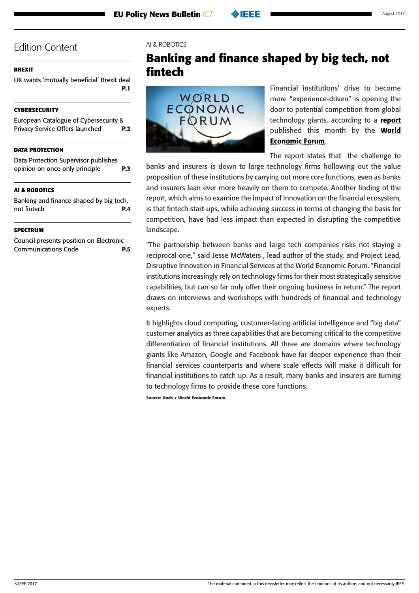## <span id="page-3-0"></span>**[BREXIT](#page-0-0)**

[UK wants 'mutually beneficial' Brexit deal](#page-0-0) **[P.1](#page-0-0)**

## **[CYBERSECURITY](#page-1-0)**

[European Catalogue of Cybersecurity &](#page-1-0)  [Privacy Service Offers launched](#page-1-0) **P.2**

## **[DATA PROTECTION](#page-2-0)**

[Data Protection Supervisor publishes](#page-2-0)  [opinion on once-only principle](#page-2-0) **P.3**

### **AI & ROBOTICS**

Banking and finance shaped by big tech, not fintech **P.4**

#### **[SPECTRUM](#page-4-0)**

[Council presents position on Electronic](#page-4-0)  [Communications Code](#page-4-0) **P.5**

#### AI & ROBOTICS

## **Banking and finance shaped by big tech, not fintech**



Financial institutions' drive to become more "experience-driven" is opening the door to potential competition from global technology giants, according to a [report](http://www3.weforum.org/docs/Beyond_Fintech_-_A_Pragmatic_Assessment_of_Disruptive_Potential_in_Financial_Services.pdf) published this month by the [World](https://www.weforum.org/)  [Economic Forum](https://www.weforum.org/).

The report states that the challenge to

banks and insurers is down to large technology firms hollowing out the value proposition of these institutions by carrying out more core functions, even as banks and insurers lean ever more heavily on them to compete. Another finding of the report, which aims to examine the impact of innovation on the financial ecosystem, is that fintech start-ups, while achieving success in terms of changing the basis for competition, have had less impact than expected in disrupting the competitive landscape.

"The partnership between banks and large tech companies risks not staying a reciprocal one," said Jesse McWaters , lead author of the study, and Project Lead, Disruptive Innovation in Financial Services at the World Economic Forum. "Financial institutions increasingly rely on technology firms for their most strategically sensitive capabilities, but can so far only offer their ongoing business in return." The report draws on interviews and workshops with hundreds of financial and technology experts.

It highlights cloud computing, customer-facing artificial intelligence and "big data" customer analytics as three capabilities that are becoming critical to the competitive differentiation of financial institutions. All three are domains where technology giants like Amazon, Google and Facebook have far deeper experience than their financial services counterparts and where scale effects will make it difficult for financial institutions to catch up. As a result, many banks and insurers are turning to technology firms to provide these core functions.

**Source: Dods + World Economic Forum**